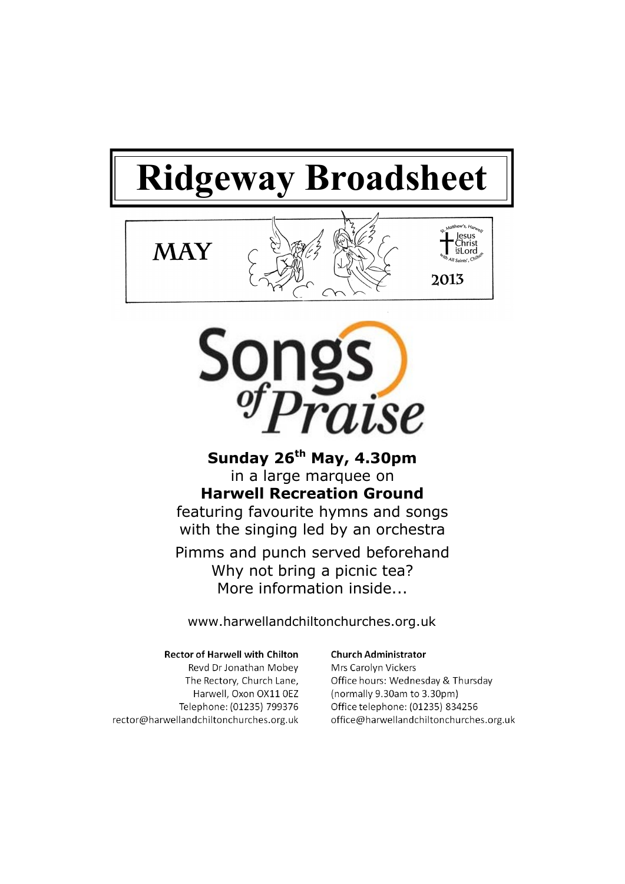# **Ridgeway Broadsheet**





**Sunday 26th May, 4.30pm** in a large marquee on **Harwell Recreation Ground** featuring favourite hymns and songs with the singing led by an orchestra

Pimms and punch served beforehand Why not bring a picnic tea? More information inside...

www.harwellandchiltonchurches.org.uk

#### **Rector of Harwell with Chilton**

Revd Dr Jonathan Mobev The Rectory, Church Lane, Harwell, Oxon OX11 0EZ Telephone: (01235) 799376 rector@harwellandchiltonchurches.org.uk

#### **Church Administrator**

Mrs Carolyn Vickers Office hours: Wednesday & Thursday (normally 9.30am to 3.30pm) Office telephone: (01235) 834256 office@harwellandchiltonchurches.org.uk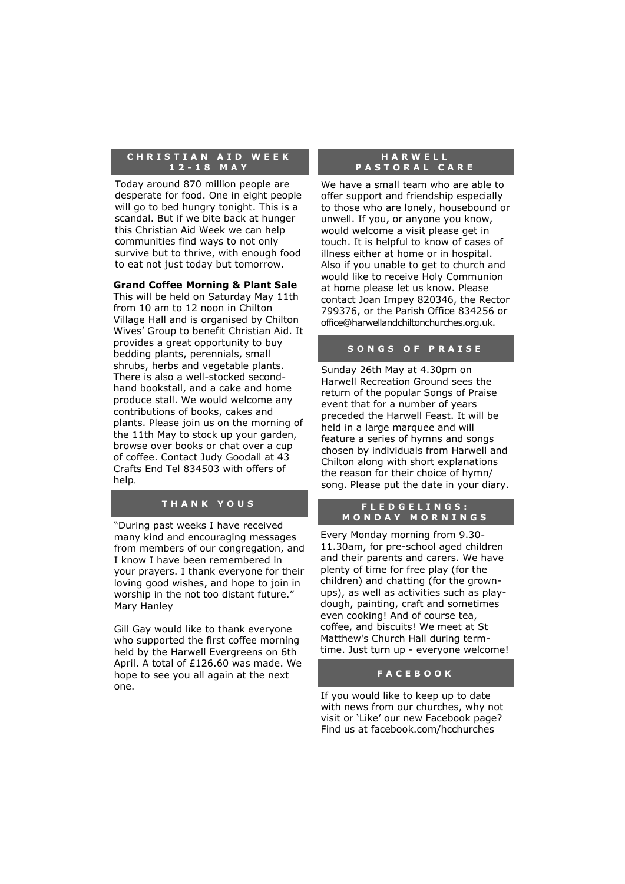#### **C H R I S T I A N A I D W E E K 1 2 - 1 8 M A Y**

Today around 870 million people are desperate for food. One in eight people will go to bed hungry tonight. This is a scandal. But if we bite back at hunger this Christian Aid Week we can help communities find ways to not only survive but to thrive, with enough food to eat not just today but tomorrow.

#### **Grand Coffee Morning & Plant Sale**

This will be held on Saturday May 11th from 10 am to 12 noon in Chilton Village Hall and is organised by Chilton Wives' Group to benefit Christian Aid. It provides a great opportunity to buy bedding plants, perennials, small shrubs, herbs and vegetable plants. There is also a well-stocked secondhand bookstall, and a cake and home produce stall. We would welcome any contributions of books, cakes and plants. Please join us on the morning of the 11th May to stock up your garden, browse over books or chat over a cup of coffee. Contact Judy Goodall at 43 Crafts End Tel 834503 with offers of help.

#### **T H A N K Y O U S**

"During past weeks I have received many kind and encouraging messages from members of our congregation, and I know I have been remembered in your prayers. I thank everyone for their loving good wishes, and hope to join in worship in the not too distant future." Mary Hanley

Gill Gay would like to thank everyone who supported the first coffee morning held by the Harwell Evergreens on 6th April. A total of £126.60 was made. We hope to see you all again at the next one.

#### **H A R W E L L P A S T O R A L C A R E**

We have a small team who are able to offer support and friendship especially to those who are lonely, housebound or unwell. If you, or anyone you know, would welcome a visit please get in touch. It is helpful to know of cases of illness either at home or in hospital. Also if you unable to get to church and would like to receive Holy Communion at home please let us know. Please contact Joan Impey 820346, the Rector 799376, or the Parish Office 834256 or office@harwellandchiltonchurches.org.uk.

#### **S O N G S O F P R A I S E**

Sunday 26th May at 4.30pm on Harwell Recreation Ground sees the return of the popular Songs of Praise event that for a number of years preceded the Harwell Feast. It will be held in a large marquee and will feature a series of hymns and songs chosen by individuals from Harwell and Chilton along with short explanations the reason for their choice of hymn/ song. Please put the date in your diary.

#### **F L E D G E L I N G S : M O N D A Y M O R N I N G S**

Every Monday morning from 9.30- 11.30am, for pre-school aged children and their parents and carers. We have plenty of time for free play (for the children) and chatting (for the grownups), as well as activities such as playdough, painting, craft and sometimes even cooking! And of course tea, coffee, and biscuits! We meet at St Matthew's Church Hall during termtime. Just turn up - everyone welcome!

#### **F A C E B O O K**

If you would like to keep up to date with news from our churches, why not visit or 'Like' our new Facebook page? Find us at facebook.com/hcchurches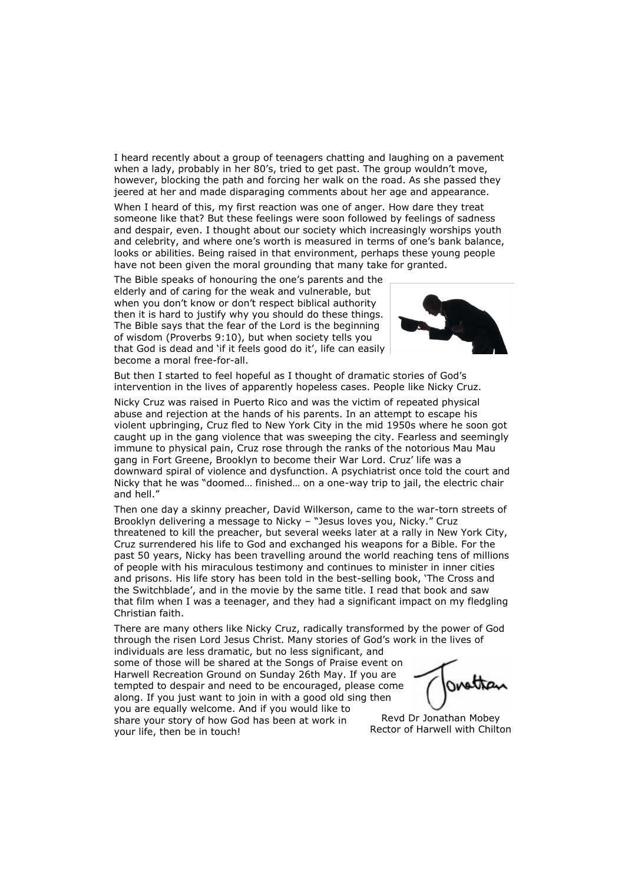I heard recently about a group of teenagers chatting and laughing on a pavement when a lady, probably in her 80's, tried to get past. The group wouldn't move, however, blocking the path and forcing her walk on the road. As she passed they jeered at her and made disparaging comments about her age and appearance.

When I heard of this, my first reaction was one of anger. How dare they treat someone like that? But these feelings were soon followed by feelings of sadness and despair, even. I thought about our society which increasingly worships youth and celebrity, and where one's worth is measured in terms of one's bank balance, looks or abilities. Being raised in that environment, perhaps these young people have not been given the moral grounding that many take for granted.

The Bible speaks of honouring the one's parents and the elderly and of caring for the weak and vulnerable, but when you don't know or don't respect biblical authority then it is hard to justify why you should do these things. The Bible says that the fear of the Lord is the beginning of wisdom (Proverbs 9:10), but when society tells you that God is dead and 'if it feels good do it', life can easily become a moral free-for-all.



But then I started to feel hopeful as I thought of dramatic stories of God's intervention in the lives of apparently hopeless cases. People like Nicky Cruz.

Nicky Cruz was raised in Puerto Rico and was the victim of repeated physical abuse and rejection at the hands of his parents. In an attempt to escape his violent upbringing, Cruz fled to New York City in the mid 1950s where he soon got caught up in the gang violence that was sweeping the city. Fearless and seemingly immune to physical pain, Cruz rose through the ranks of the notorious Mau Mau gang in Fort Greene, Brooklyn to become their War Lord. Cruz' life was a downward spiral of violence and dysfunction. A psychiatrist once told the court and Nicky that he was "doomed… finished… on a one-way trip to jail, the electric chair and hell."

Then one day a skinny preacher, David Wilkerson, came to the war-torn streets of Brooklyn delivering a message to Nicky – "Jesus loves you, Nicky." Cruz threatened to kill the preacher, but several weeks later at a rally in New York City, Cruz surrendered his life to God and exchanged his weapons for a Bible. For the past 50 years, Nicky has been travelling around the world reaching tens of millions of people with his miraculous testimony and continues to minister in inner cities and prisons. His life story has been told in the best-selling book, 'The Cross and the Switchblade', and in the movie by the same title. I read that book and saw that film when I was a teenager, and they had a significant impact on my fledgling Christian faith.

There are many others like Nicky Cruz, radically transformed by the power of God through the risen Lord Jesus Christ. Many stories of God's work in the lives of individuals are less dramatic, but no less significant, and

some of those will be shared at the Songs of Praise event on Harwell Recreation Ground on Sunday 26th May. If you are tempted to despair and need to be encouraged, please come along. If you just want to join in with a good old sing then you are equally welcome. And if you would like to share your story of how God has been at work in your life, then be in touch!

Revd Dr Jonathan Mobey Rector of Harwell with Chilton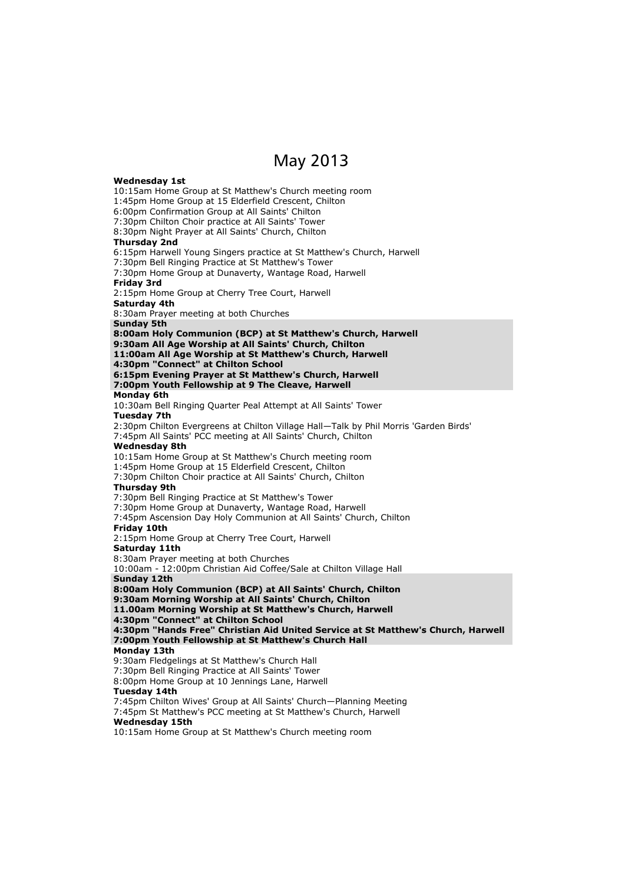## May 2013

#### **Wednesday 1st** 10:15am Home Group at St Matthew's Church meeting room 1:45pm Home Group at 15 Elderfield Crescent, Chilton 6:00pm Confirmation Group at All Saints' Chilton 7:30pm Chilton Choir practice at All Saints' Tower 8:30pm Night Prayer at All Saints' Church, Chilton **Thursday 2nd** 6:15pm Harwell Young Singers practice at St Matthew's Church, Harwell 7:30pm Bell Ringing Practice at St Matthew's Tower 7:30pm Home Group at Dunaverty, Wantage Road, Harwell **Friday 3rd** 2:15pm Home Group at Cherry Tree Court, Harwell **Saturday 4th** 8:30am Prayer meeting at both Churches **Sunday 5th 8:00am Holy Communion (BCP) at St Matthew's Church, Harwell 9:30am All Age Worship at All Saints' Church, Chilton 11:00am All Age Worship at St Matthew's Church, Harwell 4:30pm "Connect" at Chilton School 6:15pm Evening Prayer at St Matthew's Church, Harwell 7:00pm Youth Fellowship at 9 The Cleave, Harwell Monday 6th** 10:30am Bell Ringing Quarter Peal Attempt at All Saints' Tower **Tuesday 7th** 2:30pm Chilton Evergreens at Chilton Village Hall—Talk by Phil Morris 'Garden Birds' 7:45pm All Saints' PCC meeting at All Saints' Church, Chilton **Wednesday 8th** 10:15am Home Group at St Matthew's Church meeting room 1:45pm Home Group at 15 Elderfield Crescent, Chilton 7:30pm Chilton Choir practice at All Saints' Church, Chilton **Thursday 9th** 7:30pm Bell Ringing Practice at St Matthew's Tower 7:30pm Home Group at Dunaverty, Wantage Road, Harwell 7:45pm Ascension Day Holy Communion at All Saints' Church, Chilton **Friday 10th** 2:15pm Home Group at Cherry Tree Court, Harwell **Saturday 11th** 8:30am Prayer meeting at both Churches 10:00am - 12:00pm Christian Aid Coffee/Sale at Chilton Village Hall **Sunday 12th 8:00am Holy Communion (BCP) at All Saints' Church, Chilton 9:30am Morning Worship at All Saints' Church, Chilton 11.00am Morning Worship at St Matthew's Church, Harwell 4:30pm "Connect" at Chilton School 4:30pm "Hands Free" Christian Aid United Service at St Matthew's Church, Harwell 7:00pm Youth Fellowship at St Matthew's Church Hall Monday 13th** 9:30am Fledgelings at St Matthew's Church Hall 7:30pm Bell Ringing Practice at All Saints' Tower 8:00pm Home Group at 10 Jennings Lane, Harwell **Tuesday 14th** 7:45pm Chilton Wives' Group at All Saints' Church—Planning Meeting 7:45pm St Matthew's PCC meeting at St Matthew's Church, Harwell **Wednesday 15th** 10:15am Home Group at St Matthew's Church meeting room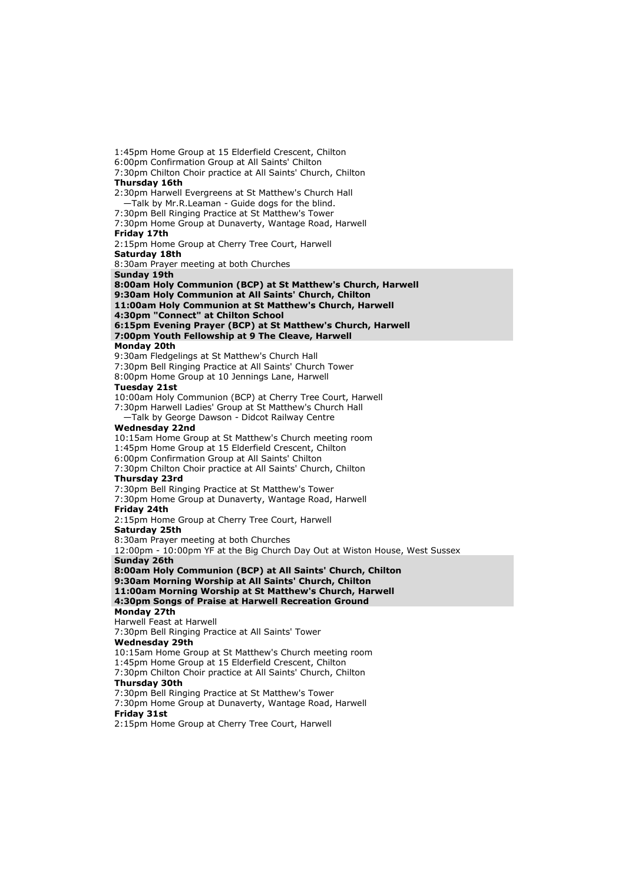1:45pm Home Group at 15 Elderfield Crescent, Chilton 6:00pm Confirmation Group at All Saints' Chilton 7:30pm Chilton Choir practice at All Saints' Church, Chilton **Thursday 16th** 2:30pm Harwell Evergreens at St Matthew's Church Hall —Talk by Mr.R.Leaman - Guide dogs for the blind. 7:30pm Bell Ringing Practice at St Matthew's Tower 7:30pm Home Group at Dunaverty, Wantage Road, Harwell **Friday 17th** 2:15pm Home Group at Cherry Tree Court, Harwell **Saturday 18th** 8:30am Prayer meeting at both Churches **Sunday 19th 8:00am Holy Communion (BCP) at St Matthew's Church, Harwell 9:30am Holy Communion at All Saints' Church, Chilton 11:00am Holy Communion at St Matthew's Church, Harwell 4:30pm "Connect" at Chilton School 6:15pm Evening Prayer (BCP) at St Matthew's Church, Harwell 7:00pm Youth Fellowship at 9 The Cleave, Harwell Monday 20th** 9:30am Fledgelings at St Matthew's Church Hall 7:30pm Bell Ringing Practice at All Saints' Church Tower 8:00pm Home Group at 10 Jennings Lane, Harwell **Tuesday 21st** 10:00am Holy Communion (BCP) at Cherry Tree Court, Harwell 7:30pm Harwell Ladies' Group at St Matthew's Church Hall —Talk by George Dawson - Didcot Railway Centre **Wednesday 22nd** 10:15am Home Group at St Matthew's Church meeting room 1:45pm Home Group at 15 Elderfield Crescent, Chilton 6:00pm Confirmation Group at All Saints' Chilton 7:30pm Chilton Choir practice at All Saints' Church, Chilton **Thursday 23rd** 7:30pm Bell Ringing Practice at St Matthew's Tower 7:30pm Home Group at Dunaverty, Wantage Road, Harwell **Friday 24th** 2:15pm Home Group at Cherry Tree Court, Harwell **Saturday 25th** 8:30am Prayer meeting at both Churches 12:00pm - 10:00pm YF at the Big Church Day Out at Wiston House, West Sussex **Sunday 26th 8:00am Holy Communion (BCP) at All Saints' Church, Chilton 9:30am Morning Worship at All Saints' Church, Chilton 11:00am Morning Worship at St Matthew's Church, Harwell 4:30pm Songs of Praise at Harwell Recreation Ground Monday 27th** Harwell Feast at Harwell 7:30pm Bell Ringing Practice at All Saints' Tower **Wednesday 29th** 10:15am Home Group at St Matthew's Church meeting room 1:45pm Home Group at 15 Elderfield Crescent, Chilton 7:30pm Chilton Choir practice at All Saints' Church, Chilton **Thursday 30th** 7:30pm Bell Ringing Practice at St Matthew's Tower 7:30pm Home Group at Dunaverty, Wantage Road, Harwell **Friday 31st** 2:15pm Home Group at Cherry Tree Court, Harwell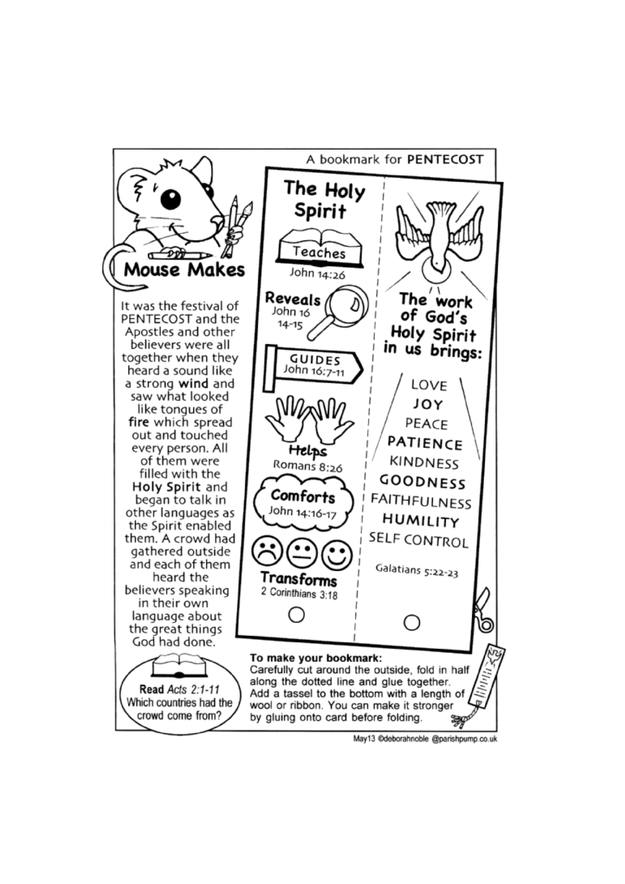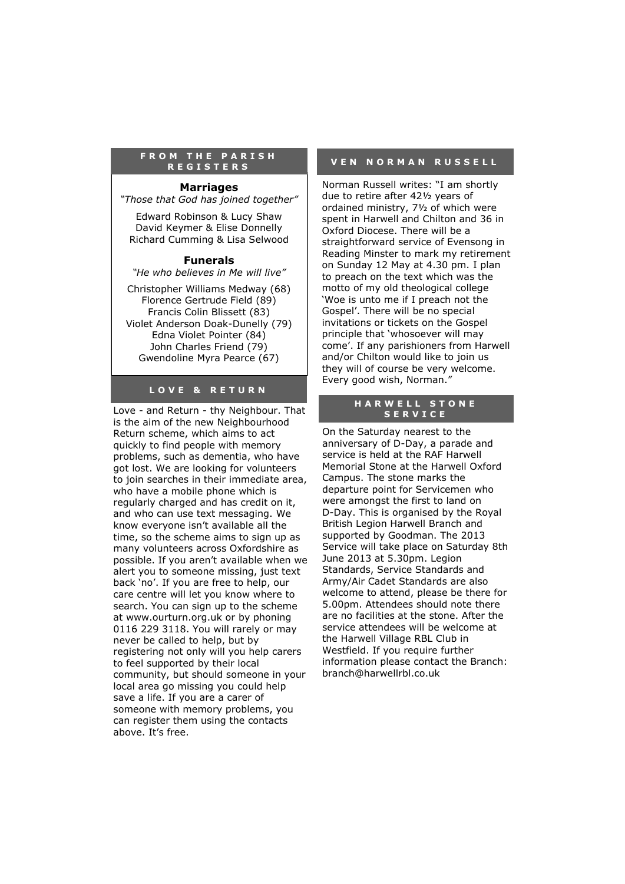#### **F R O M T H E P A R I S H R E G I S T E R S**

#### **Marriages**

*"Those that God has joined together"*

Edward Robinson & Lucy Shaw David Keymer & Elise Donnelly Richard Cumming & Lisa Selwood

#### **Funerals**

*"He who believes in Me will live"*

Christopher Williams Medway (68) Florence Gertrude Field (89) Francis Colin Blissett (83) Violet Anderson Doak-Dunelly (79) Edna Violet Pointer (84) John Charles Friend (79) Gwendoline Myra Pearce (67)

#### **L O V E & R E T U R N**

Love - and Return - thy Neighbour. That is the aim of the new Neighbourhood Return scheme, which aims to act quickly to find people with memory problems, such as dementia, who have got lost. We are looking for volunteers to join searches in their immediate area, who have a mobile phone which is regularly charged and has credit on it, and who can use text messaging. We know everyone isn't available all the time, so the scheme aims to sign up as many volunteers across Oxfordshire as possible. If you aren't available when we alert you to someone missing, just text back 'no'. If you are free to help, our care centre will let you know where to search. You can sign up to the scheme at www.ourturn.org.uk or by phoning 0116 229 3118. You will rarely or may never be called to help, but by registering not only will you help carers to feel supported by their local community, but should someone in your local area go missing you could help save a life. If you are a carer of someone with memory problems, you can register them using the contacts above. It's free.

#### **V E N N O R M A N R U S S E L L**

Norman Russell writes: "I am shortly due to retire after 42½ years of ordained ministry, 7½ of which were spent in Harwell and Chilton and 36 in Oxford Diocese. There will be a straightforward service of Evensong in Reading Minster to mark my retirement on Sunday 12 May at 4.30 pm. I plan to preach on the text which was the motto of my old theological college 'Woe is unto me if I preach not the Gospel'. There will be no special invitations or tickets on the Gospel principle that 'whosoever will may come'. If any parishioners from Harwell and/or Chilton would like to join us they will of course be very welcome. Every good wish, Norman."

#### **HARWELL STONE S E R V I C E**

On the Saturday nearest to the anniversary of D-Day, a parade and service is held at the RAF Harwell Memorial Stone at the Harwell Oxford Campus. The stone marks the departure point for Servicemen who were amongst the first to land on D-Day. This is organised by the Royal British Legion Harwell Branch and supported by Goodman. The 2013 Service will take place on Saturday 8th June 2013 at 5.30pm. Legion Standards, Service Standards and Army/Air Cadet Standards are also welcome to attend, please be there for 5.00pm. Attendees should note there are no facilities at the stone. After the service attendees will be welcome at the Harwell Village RBL Club in Westfield. If you require further information please contact the Branch: branch@harwellrbl.co.uk